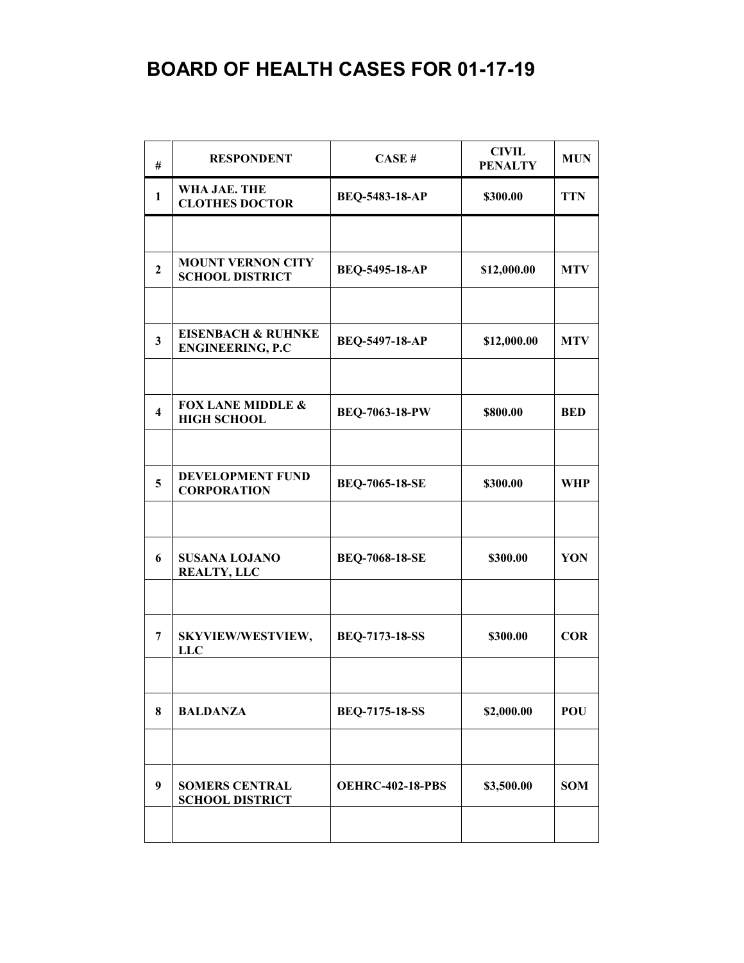| #                       | <b>RESPONDENT</b>                                        | CASE#                   | <b>CIVIL</b><br><b>PENALTY</b> | <b>MUN</b> |
|-------------------------|----------------------------------------------------------|-------------------------|--------------------------------|------------|
| 1                       | WHA JAE. THE<br><b>CLOTHES DOCTOR</b>                    | <b>BEQ-5483-18-AP</b>   | \$300.00                       | <b>TTN</b> |
|                         |                                                          |                         |                                |            |
| $\overline{2}$          | <b>MOUNT VERNON CITY</b><br><b>SCHOOL DISTRICT</b>       | <b>BEQ-5495-18-AP</b>   | \$12,000.00                    | <b>MTV</b> |
|                         |                                                          |                         |                                |            |
| $\overline{\mathbf{3}}$ | <b>EISENBACH &amp; RUHNKE</b><br><b>ENGINEERING, P.C</b> | <b>BEQ-5497-18-AP</b>   | \$12,000.00                    | <b>MTV</b> |
|                         |                                                          |                         |                                |            |
| $\overline{\mathbf{4}}$ | <b>FOX LANE MIDDLE &amp;</b><br><b>HIGH SCHOOL</b>       | <b>BEQ-7063-18-PW</b>   | \$800.00                       | <b>BED</b> |
|                         |                                                          |                         |                                |            |
| 5                       | <b>DEVELOPMENT FUND</b><br><b>CORPORATION</b>            | <b>BEQ-7065-18-SE</b>   | \$300.00                       | <b>WHP</b> |
|                         |                                                          |                         |                                |            |
| 6                       | <b>SUSANA LOJANO</b><br><b>REALTY, LLC</b>               | <b>BEQ-7068-18-SE</b>   | \$300.00                       | YON        |
|                         |                                                          |                         |                                |            |
| 7                       | SKYVIEW/WESTVIEW,<br><b>LLC</b>                          | <b>BEQ-7173-18-SS</b>   | \$300.00                       | <b>COR</b> |
|                         |                                                          |                         |                                |            |
| 8                       | <b>BALDANZA</b>                                          | <b>BEQ-7175-18-SS</b>   | \$2,000.00                     | POU        |
|                         |                                                          |                         |                                |            |
| 9                       | <b>SOMERS CENTRAL</b><br><b>SCHOOL DISTRICT</b>          | <b>OEHRC-402-18-PBS</b> | \$3,500.00                     | <b>SOM</b> |
|                         |                                                          |                         |                                |            |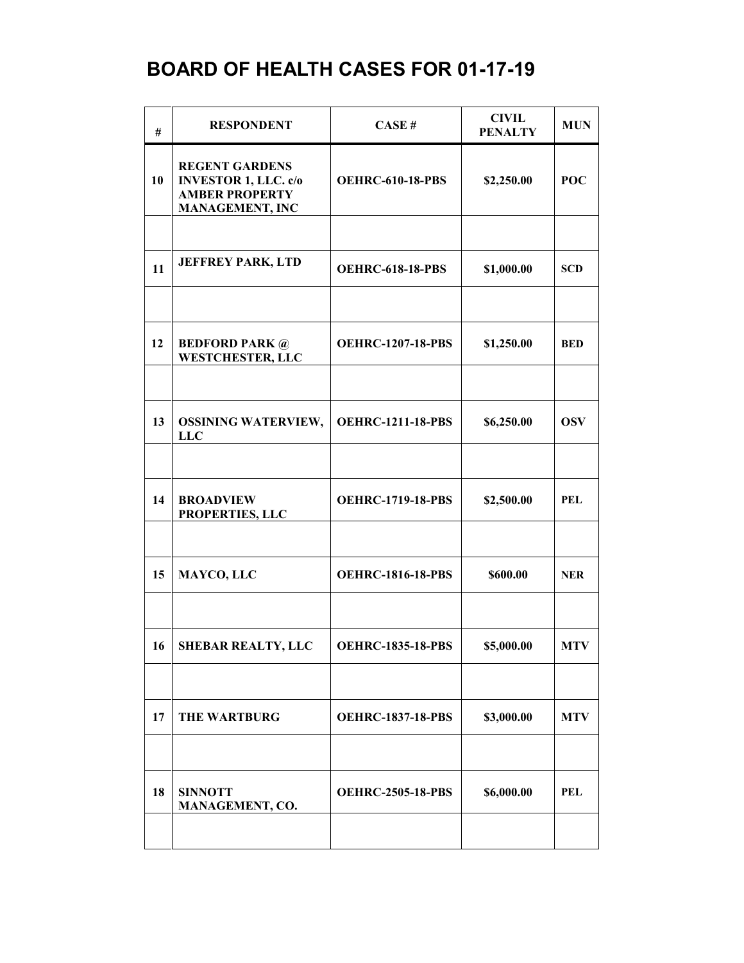| #  | <b>RESPONDENT</b>                                                                                       | CASE#                    | <b>CIVIL</b><br><b>PENALTY</b> | <b>MUN</b> |
|----|---------------------------------------------------------------------------------------------------------|--------------------------|--------------------------------|------------|
| 10 | <b>REGENT GARDENS</b><br><b>INVESTOR 1, LLC. c/o</b><br><b>AMBER PROPERTY</b><br><b>MANAGEMENT, INC</b> | <b>OEHRC-610-18-PBS</b>  | \$2,250.00                     | <b>POC</b> |
|    |                                                                                                         |                          |                                |            |
| 11 | <b>JEFFREY PARK, LTD</b>                                                                                | <b>OEHRC-618-18-PBS</b>  | \$1,000.00                     | <b>SCD</b> |
|    |                                                                                                         |                          |                                |            |
| 12 | <b>BEDFORD PARK @</b><br><b>WESTCHESTER, LLC</b>                                                        | <b>OEHRC-1207-18-PBS</b> | \$1,250.00                     | <b>BED</b> |
|    |                                                                                                         |                          |                                |            |
| 13 | <b>OSSINING WATERVIEW,</b><br><b>LLC</b>                                                                | <b>OEHRC-1211-18-PBS</b> | \$6,250.00                     | <b>OSV</b> |
|    |                                                                                                         |                          |                                |            |
| 14 | <b>BROADVIEW</b><br>PROPERTIES, LLC                                                                     | <b>OEHRC-1719-18-PBS</b> | \$2,500.00                     | <b>PEL</b> |
|    |                                                                                                         |                          |                                |            |
| 15 | MAYCO, LLC                                                                                              | <b>OEHRC-1816-18-PBS</b> | \$600.00                       | <b>NER</b> |
|    |                                                                                                         |                          |                                |            |
| 16 | <b>SHEBAR REALTY, LLC</b>                                                                               | <b>OEHRC-1835-18-PBS</b> | \$5,000.00                     | <b>MTV</b> |
|    |                                                                                                         |                          |                                |            |
| 17 | <b>THE WARTBURG</b>                                                                                     | <b>OEHRC-1837-18-PBS</b> | \$3,000.00                     | <b>MTV</b> |
|    |                                                                                                         |                          |                                |            |
| 18 | <b>SINNOTT</b><br>MANAGEMENT, CO.                                                                       | <b>OEHRC-2505-18-PBS</b> | \$6,000.00                     | PEL        |
|    |                                                                                                         |                          |                                |            |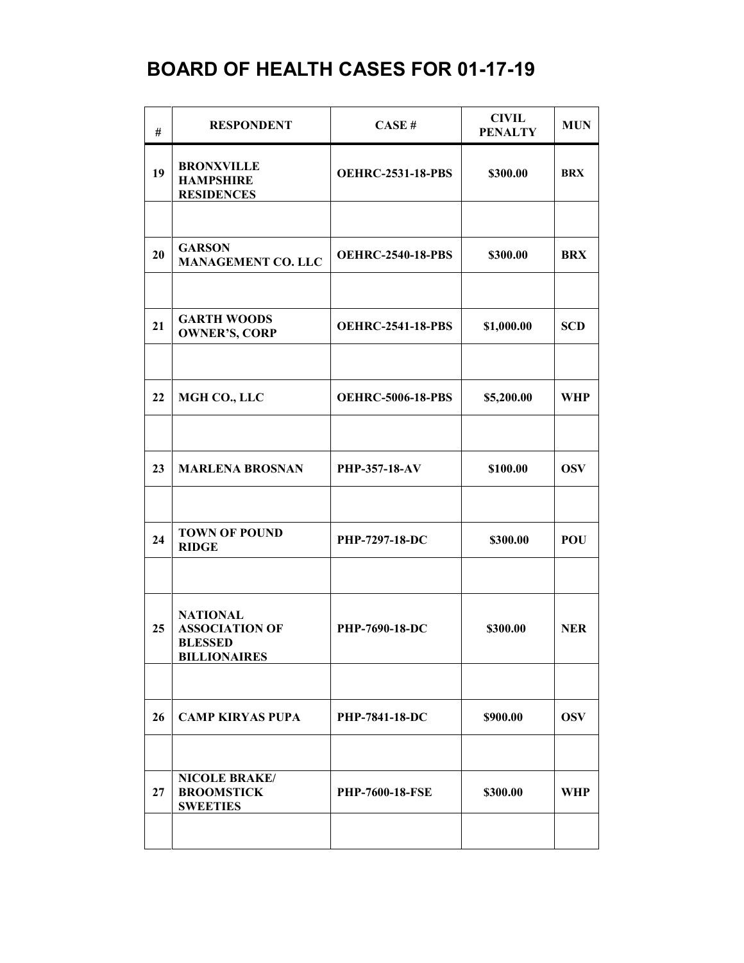| #  | <b>RESPONDENT</b>                                                                 | CASE#                    | <b>CIVIL</b><br><b>PENALTY</b> | <b>MUN</b> |
|----|-----------------------------------------------------------------------------------|--------------------------|--------------------------------|------------|
| 19 | <b>BRONXVILLE</b><br><b>HAMPSHIRE</b><br><b>RESIDENCES</b>                        | <b>OEHRC-2531-18-PBS</b> | \$300.00                       | <b>BRX</b> |
|    |                                                                                   |                          |                                |            |
| 20 | <b>GARSON</b><br><b>MANAGEMENT CO. LLC</b>                                        | <b>OEHRC-2540-18-PBS</b> | \$300.00                       | <b>BRX</b> |
|    |                                                                                   |                          |                                |            |
| 21 | <b>GARTH WOODS</b><br><b>OWNER'S, CORP</b>                                        | <b>OEHRC-2541-18-PBS</b> | \$1,000.00                     | <b>SCD</b> |
|    |                                                                                   |                          |                                |            |
| 22 | MGH CO., LLC                                                                      | <b>OEHRC-5006-18-PBS</b> | \$5,200.00                     | WHP        |
|    |                                                                                   |                          |                                |            |
| 23 | <b>MARLENA BROSNAN</b>                                                            | <b>PHP-357-18-AV</b>     | \$100.00                       | <b>OSV</b> |
|    |                                                                                   |                          |                                |            |
| 24 | <b>TOWN OF POUND</b><br><b>RIDGE</b>                                              | PHP-7297-18-DC           | \$300.00                       | POU        |
|    |                                                                                   |                          |                                |            |
| 25 | <b>NATIONAL</b><br><b>ASSOCIATION OF</b><br><b>BLESSED</b><br><b>BILLIONAIRES</b> | PHP-7690-18-DC           | \$300.00                       | <b>NER</b> |
|    |                                                                                   |                          |                                |            |
| 26 | <b>CAMP KIRYAS PUPA</b>                                                           | PHP-7841-18-DC           | \$900.00                       | <b>OSV</b> |
|    |                                                                                   |                          |                                |            |
| 27 | NICOLE BRAKE/<br><b>BROOMSTICK</b><br><b>SWEETIES</b>                             | <b>PHP-7600-18-FSE</b>   | \$300.00                       | <b>WHP</b> |
|    |                                                                                   |                          |                                |            |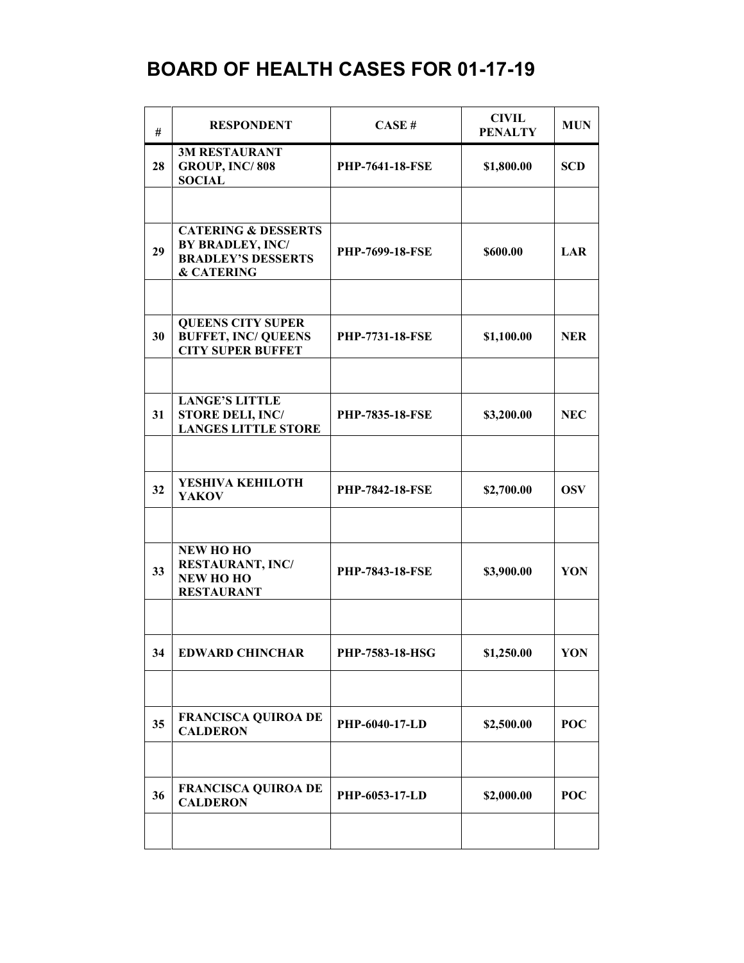| #  | <b>RESPONDENT</b>                                                                                        | CASE#                  | <b>CIVIL</b><br><b>PENALTY</b> | <b>MUN</b> |
|----|----------------------------------------------------------------------------------------------------------|------------------------|--------------------------------|------------|
| 28 | <b>3M RESTAURANT</b><br>GROUP, INC/808<br><b>SOCIAL</b>                                                  | PHP-7641-18-FSE        | \$1,800.00                     | <b>SCD</b> |
|    |                                                                                                          |                        |                                |            |
| 29 | <b>CATERING &amp; DESSERTS</b><br>BY BRADLEY, INC/<br><b>BRADLEY'S DESSERTS</b><br><b>&amp; CATERING</b> | PHP-7699-18-FSE        | \$600.00                       | LAR        |
|    |                                                                                                          |                        |                                |            |
| 30 | <b>QUEENS CITY SUPER</b><br><b>BUFFET, INC/ QUEENS</b><br><b>CITY SUPER BUFFET</b>                       | <b>PHP-7731-18-FSE</b> | \$1,100.00                     | <b>NER</b> |
|    |                                                                                                          |                        |                                |            |
| 31 | <b>LANGE'S LITTLE</b><br><b>STORE DELI, INC/</b><br><b>LANGES LITTLE STORE</b>                           | PHP-7835-18-FSE        | \$3,200.00                     | <b>NEC</b> |
|    |                                                                                                          |                        |                                |            |
| 32 | YESHIVA KEHILOTH<br><b>YAKOV</b>                                                                         | <b>PHP-7842-18-FSE</b> | \$2,700.00                     | <b>OSV</b> |
|    |                                                                                                          |                        |                                |            |
| 33 | NEW HO HO<br><b>RESTAURANT, INC/</b><br><b>NEW HOHO</b><br><b>RESTAURANT</b>                             | <b>PHP-7843-18-FSE</b> | \$3,900.00                     | YON        |
|    |                                                                                                          |                        |                                |            |
| 34 | <b>EDWARD CHINCHAR</b>                                                                                   | PHP-7583-18-HSG        | \$1,250.00                     | YON        |
|    |                                                                                                          |                        |                                |            |
| 35 | <b>FRANCISCA QUIROA DE</b><br><b>CALDERON</b>                                                            | PHP-6040-17-LD         | \$2,500.00                     | POC        |
|    |                                                                                                          |                        |                                |            |
| 36 | <b>FRANCISCA QUIROA DE</b><br><b>CALDERON</b>                                                            | <b>PHP-6053-17-LD</b>  | \$2,000.00                     | POC        |
|    |                                                                                                          |                        |                                |            |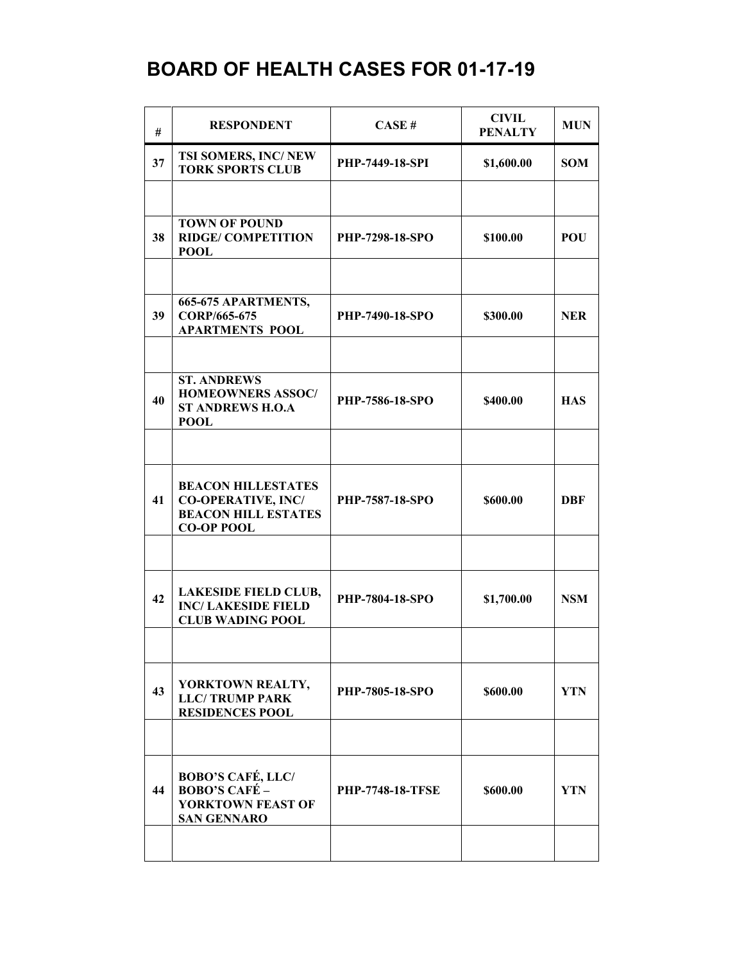| #  | <b>RESPONDENT</b>                                                                                         | CASE#                   | <b>CIVIL</b><br><b>PENALTY</b> | <b>MUN</b> |
|----|-----------------------------------------------------------------------------------------------------------|-------------------------|--------------------------------|------------|
| 37 | TSI SOMERS, INC/NEW<br><b>TORK SPORTS CLUB</b>                                                            | <b>PHP-7449-18-SPI</b>  | \$1,600.00                     | <b>SOM</b> |
|    |                                                                                                           |                         |                                |            |
| 38 | <b>TOWN OF POUND</b><br><b>RIDGE/COMPETITION</b><br><b>POOL</b>                                           | PHP-7298-18-SPO         | \$100.00                       | <b>POU</b> |
|    |                                                                                                           |                         |                                |            |
| 39 | 665-675 APARTMENTS,<br>CORP/665-675<br><b>APARTMENTS POOL</b>                                             | <b>PHP-7490-18-SPO</b>  | \$300.00                       | <b>NER</b> |
|    |                                                                                                           |                         |                                |            |
| 40 | <b>ST. ANDREWS</b><br><b>HOMEOWNERS ASSOC/</b><br><b>ST ANDREWS H.O.A</b><br><b>POOL</b>                  | PHP-7586-18-SPO         | \$400.00                       | <b>HAS</b> |
|    |                                                                                                           |                         |                                |            |
| 41 | <b>BEACON HILLESTATES</b><br><b>CO-OPERATIVE, INC/</b><br><b>BEACON HILL ESTATES</b><br><b>CO-OP POOL</b> | <b>PHP-7587-18-SPO</b>  | \$600.00                       | DBF        |
|    |                                                                                                           |                         |                                |            |
| 42 | <b>LAKESIDE FIELD CLUB,</b><br><b>INC/LAKESIDE FIELD</b><br><b>CLUB WADING POOL</b>                       | PHP-7804-18-SPO         | \$1,700.00                     | <b>NSM</b> |
|    |                                                                                                           |                         |                                |            |
| 43 | YORKTOWN REALTY,<br><b>LLC/TRUMP PARK</b><br><b>RESIDENCES POOL</b>                                       | PHP-7805-18-SPO         | \$600.00                       | <b>YTN</b> |
|    |                                                                                                           |                         |                                |            |
| 44 | <b>BOBO'S CAFÉ, LLC/</b><br><b>BOBO'S CAFÉ -</b><br><b>YORKTOWN FEAST OF</b><br><b>SAN GENNARO</b>        | <b>PHP-7748-18-TFSE</b> | \$600.00                       | <b>YTN</b> |
|    |                                                                                                           |                         |                                |            |